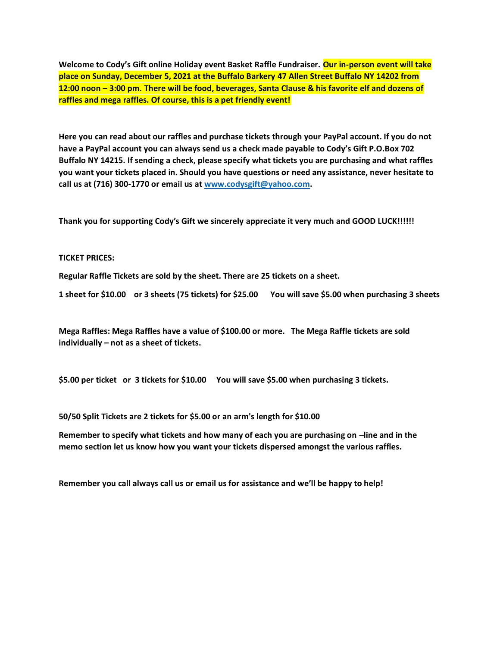**Welcome to Cody's Gift online Holiday event Basket Raffle Fundraiser. Our in-person event will take place on Sunday, December 5, 2021 at the Buffalo Barkery 47 Allen Street Buffalo NY 14202 from 12:00 noon – 3:00 pm. There will be food, beverages, Santa Clause & his favorite elf and dozens of raffles and mega raffles. Of course, this is a pet friendly event!**

**Here you can read about our raffles and purchase tickets through your PayPal account. If you do not have a PayPal account you can always send us a check made payable to Cody's Gift P.O.Box 702 Buffalo NY 14215. If sending a check, please specify what tickets you are purchasing and what raffles you want your tickets placed in. Should you have questions or need any assistance, never hesitate to call us at (716) 300-1770 or email us at [www.codysgift@yahoo.com.](http://www.codysgift@yahoo.com/)**

**Thank you for supporting Cody's Gift we sincerely appreciate it very much and GOOD LUCK!!!!!!**

### **TICKET PRICES:**

**Regular Raffle Tickets are sold by the sheet. There are 25 tickets on a sheet.** 

**1 sheet for \$10.00 or 3 sheets (75 tickets) for \$25.00 You will save \$5.00 when purchasing 3 sheets**

**Mega Raffles: Mega Raffles have a value of \$100.00 or more. The Mega Raffle tickets are sold individually – not as a sheet of tickets.**

**\$5.00 per ticket or 3 tickets for \$10.00 You will save \$5.00 when purchasing 3 tickets.**

**50/50 Split Tickets are 2 tickets for \$5.00 or an arm's length for \$10.00**

**Remember to specify what tickets and how many of each you are purchasing on –line and in the memo section let us know how you want your tickets dispersed amongst the various raffles.**

**Remember you call always call us or email us for assistance and we'll be happy to help!**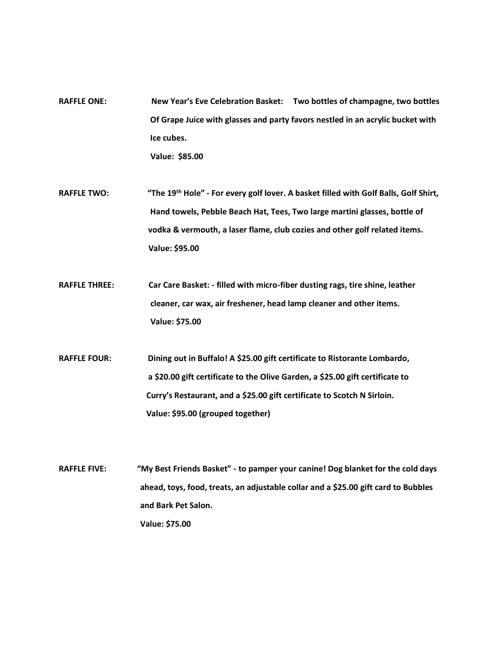- **RAFFLE ONE: New Year's Eve Celebration Basket: Two bottles of champagne, two bottles Of Grape Juice with glasses and party favors nestled in an acrylic bucket with Ice cubes. Value: \$85.00**
- **RAFFLE TWO: "The 19th Hole" - For every golf lover. A basket filled with Golf Balls, Golf Shirt, Hand towels, Pebble Beach Hat, Tees, Two large martini glasses, bottle of vodka & vermouth, a laser flame, club cozies and other golf related items. Value: \$95.00**
- **RAFFLE THREE: Car Care Basket: - filled with micro-fiber dusting rags, tire shine, leather cleaner, car wax, air freshener, head lamp cleaner and other items. Value: \$75.00**
- **RAFFLE FOUR: Dining out in Buffalo! A \$25.00 gift certificate to Ristorante Lombardo, a \$20.00 gift certificate to the Olive Garden, a \$25.00 gift certificate to Curry's Restaurant, and a \$25.00 gift certificate to Scotch N Sirloin. Value: \$95.00 (grouped together)**
- **RAFFLE FIVE: "My Best Friends Basket" - to pamper your canine! Dog blanket for the cold days ahead, toys, food, treats, an adjustable collar and a \$25.00 gift card to Bubbles and Bark Pet Salon. Value: \$75.00**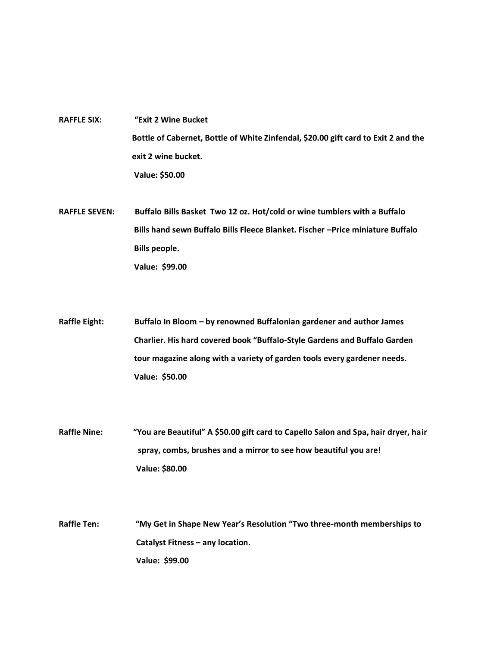- **RAFFLE SIX: "Exit 2 Wine Bucket Bottle of Cabernet, Bottle of White Zinfendal, \$20.00 gift card to Exit 2 and the exit 2 wine bucket. Value: \$50.00**
- **RAFFLE SEVEN: Buffalo Bills Basket Two 12 oz. Hot/cold or wine tumblers with a Buffalo Bills hand sewn Buffalo Bills Fleece Blanket. Fischer –Price miniature Buffalo Bills people. Value: \$99.00**
- **Raffle Eight: Buffalo In Bloom – by renowned Buffalonian gardener and author James Charlier. His hard covered book "Buffalo-Style Gardens and Buffalo Garden tour magazine along with a variety of garden tools every gardener needs. Value: \$50.00**
- **Raffle Nine: "You are Beautiful" A \$50.00 gift card to Capello Salon and Spa, hair dryer, hair spray, combs, brushes and a mirror to see how beautiful you are! Value: \$80.00**
- **Raffle Ten: "My Get in Shape New Year's Resolution "Two three-month memberships to Catalyst Fitness – any location. Value: \$99.00**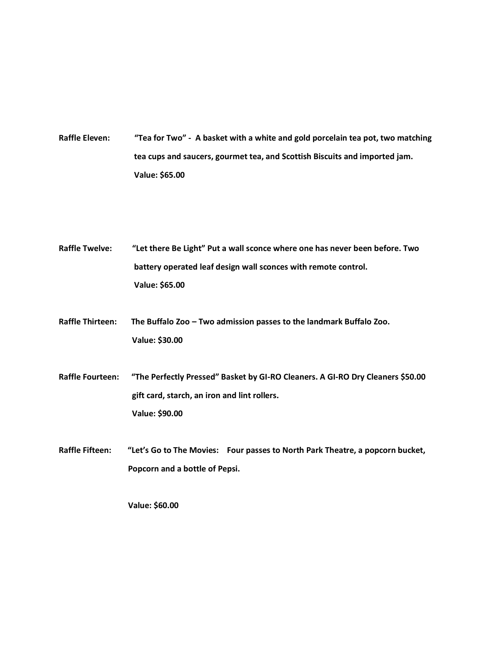- **Raffle Eleven: "Tea for Two" A basket with a white and gold porcelain tea pot, two matching tea cups and saucers, gourmet tea, and Scottish Biscuits and imported jam. Value: \$65.00**
- **Raffle Twelve: "Let there Be Light" Put a wall sconce where one has never been before. Two battery operated leaf design wall sconces with remote control. Value: \$65.00**
- **Raffle Thirteen: The Buffalo Zoo – Two admission passes to the landmark Buffalo Zoo. Value: \$30.00**
- **Raffle Fourteen: "The Perfectly Pressed" Basket by GI-RO Cleaners. A GI-RO Dry Cleaners \$50.00 gift card, starch, an iron and lint rollers. Value: \$90.00**
- **Raffle Fifteen: "Let's Go to The Movies: Four passes to North Park Theatre, a popcorn bucket, Popcorn and a bottle of Pepsi.**

 **Value: \$60.00**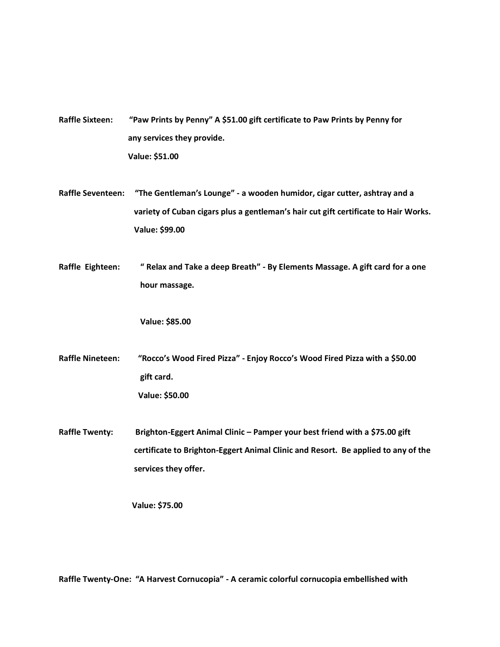| <b>Raffle Sixteen:</b>   | "Paw Prints by Penny" A \$51.00 gift certificate to Paw Prints by Penny for         |
|--------------------------|-------------------------------------------------------------------------------------|
|                          | any services they provide.                                                          |
|                          | Value: \$51.00                                                                      |
|                          |                                                                                     |
| <b>Raffle Seventeen:</b> | "The Gentleman's Lounge" - a wooden humidor, cigar cutter, ashtray and a            |
|                          | variety of Cuban cigars plus a gentleman's hair cut gift certificate to Hair Works. |
|                          | Value: \$99.00                                                                      |
|                          |                                                                                     |
| Raffle Eighteen:         | " Relax and Take a deep Breath" - By Elements Massage. A gift card for a one        |
|                          | hour massage.                                                                       |
|                          |                                                                                     |
|                          | Value: \$85.00                                                                      |
|                          |                                                                                     |
| <b>Raffle Nineteen:</b>  | "Rocco's Wood Fired Pizza" - Enjoy Rocco's Wood Fired Pizza with a \$50.00          |
|                          | gift card.                                                                          |
|                          | Value: \$50.00                                                                      |
|                          |                                                                                     |
| <b>Raffle Twenty:</b>    | Brighton-Eggert Animal Clinic - Pamper your best friend with a \$75.00 gift         |
|                          | certificate to Brighton-Eggert Animal Clinic and Resort. Be applied to any of the   |
|                          | services they offer.                                                                |
|                          |                                                                                     |
|                          | Value: \$75.00                                                                      |

**Raffle Twenty-One: "A Harvest Cornucopia" - A ceramic colorful cornucopia embellished with**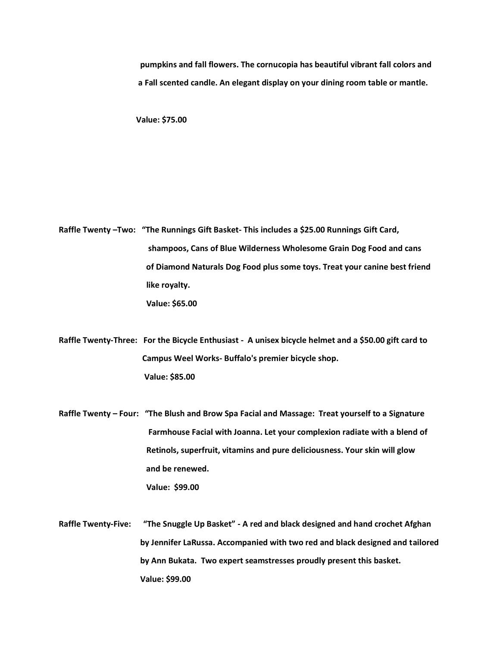**pumpkins and fall flowers. The cornucopia has beautiful vibrant fall colors and a Fall scented candle. An elegant display on your dining room table or mantle.**

 **Value: \$75.00**

**Raffle Twenty –Two: "The Runnings Gift Basket- This includes a \$25.00 Runnings Gift Card, shampoos, Cans of Blue Wilderness Wholesome Grain Dog Food and cans of Diamond Naturals Dog Food plus some toys. Treat your canine best friend like royalty. Value: \$65.00** 

**Raffle Twenty-Three: For the Bicycle Enthusiast - A unisex bicycle helmet and a \$50.00 gift card to Campus Weel Works- Buffalo's premier bicycle shop. Value: \$85.00**

**Raffle Twenty – Four: "The Blush and Brow Spa Facial and Massage: Treat yourself to a Signature Farmhouse Facial with Joanna. Let your complexion radiate with a blend of Retinols, superfruit, vitamins and pure deliciousness. Your skin will glow and be renewed.**

 **Value: \$99.00**

**Raffle Twenty-Five: "The Snuggle Up Basket" - A red and black designed and hand crochet Afghan by Jennifer LaRussa. Accompanied with two red and black designed and tailored by Ann Bukata. Two expert seamstresses proudly present this basket. Value: \$99.00**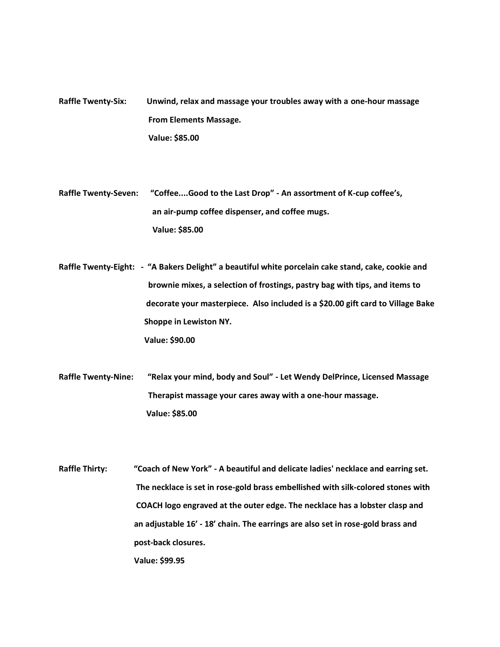**Raffle Twenty-Six: Unwind, relax and massage your troubles away with a one-hour massage From Elements Massage. Value: \$85.00**

**Raffle Twenty-Seven: "Coffee....Good to the Last Drop" - An assortment of K-cup coffee's, an air-pump coffee dispenser, and coffee mugs. Value: \$85.00**

**Raffle Twenty-Eight: - "A Bakers Delight" a beautiful white porcelain cake stand, cake, cookie and brownie mixes, a selection of frostings, pastry bag with tips, and items to decorate your masterpiece. Also included is a \$20.00 gift card to Village Bake Shoppe in Lewiston NY. Value: \$90.00**

**Raffle Twenty-Nine: "Relax your mind, body and Soul" - Let Wendy DelPrince, Licensed Massage Therapist massage your cares away with a one-hour massage. Value: \$85.00**

**Raffle Thirty: "Coach of New York" - A beautiful and delicate ladies' necklace and earring set. The necklace is set in rose-gold brass embellished with silk-colored stones with COACH logo engraved at the outer edge. The necklace has a lobster clasp and an adjustable 16' - 18' chain. The earrings are also set in rose-gold brass and post-back closures. Value: \$99.95**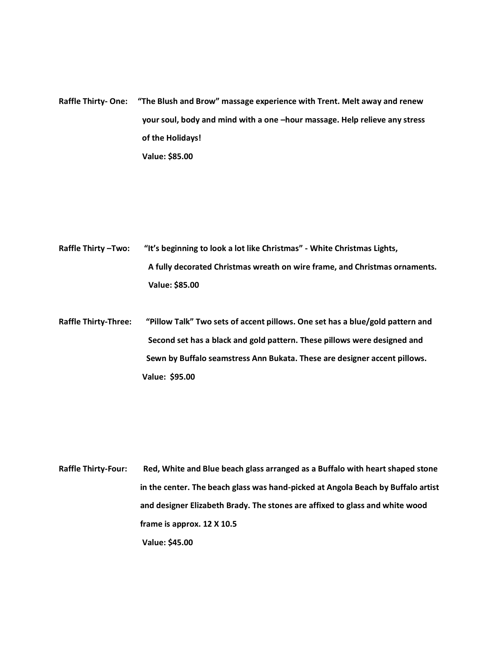**Raffle Thirty- One: "The Blush and Brow" massage experience with Trent. Melt away and renew your soul, body and mind with a one –hour massage. Help relieve any stress of the Holidays! Value: \$85.00**

- **Raffle Thirty –Two: "It's beginning to look a lot like Christmas" - White Christmas Lights, A fully decorated Christmas wreath on wire frame, and Christmas ornaments. Value: \$85.00**
- **Raffle Thirty-Three: "Pillow Talk" Two sets of accent pillows. One set has a blue/gold pattern and Second set has a black and gold pattern. These pillows were designed and Sewn by Buffalo seamstress Ann Bukata. These are designer accent pillows. Value: \$95.00**

**Raffle Thirty-Four: Red, White and Blue beach glass arranged as a Buffalo with heart shaped stone in the center. The beach glass was hand-picked at Angola Beach by Buffalo artist and designer Elizabeth Brady. The stones are affixed to glass and white wood frame is approx. 12 X 10.5 Value: \$45.00**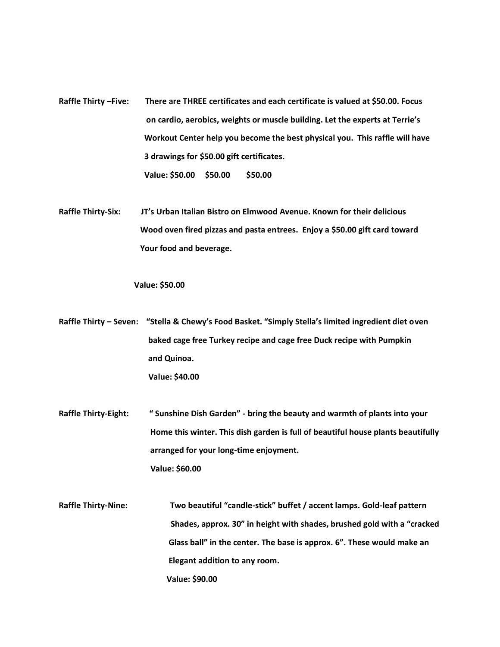**Raffle Thirty –Five: There are THREE certificates and each certificate is valued at \$50.00. Focus on cardio, aerobics, weights or muscle building. Let the experts at Terrie's Workout Center help you become the best physical you. This raffle will have 3 drawings for \$50.00 gift certificates. Value: \$50.00 \$50.00 \$50.00**

**Raffle Thirty-Six: JT's Urban Italian Bistro on Elmwood Avenue. Known for their delicious Wood oven fired pizzas and pasta entrees. Enjoy a \$50.00 gift card toward Your food and beverage.**

#### **Value: \$50.00**

**Raffle Thirty – Seven: "Stella & Chewy's Food Basket. "Simply Stella's limited ingredient diet oven baked cage free Turkey recipe and cage free Duck recipe with Pumpkin and Quinoa. Value: \$40.00**

- **Raffle Thirty-Eight: " Sunshine Dish Garden" - bring the beauty and warmth of plants into your Home this winter. This dish garden is full of beautiful house plants beautifully arranged for your long-time enjoyment. Value: \$60.00**
- **Raffle Thirty-Nine: Two beautiful "candle-stick" buffet / accent lamps. Gold-leaf pattern Shades, approx. 30" in height with shades, brushed gold with a "cracked Glass ball" in the center. The base is approx. 6". These would make an Elegant addition to any room. Value: \$90.00**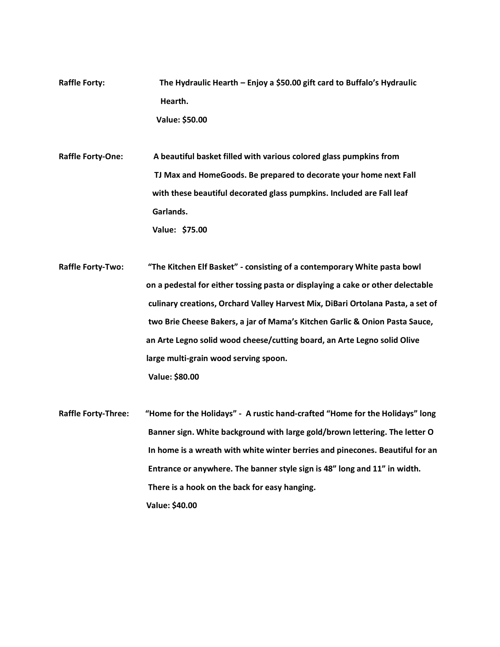- **Raffle Forty: The Hydraulic Hearth – Enjoy a \$50.00 gift card to Buffalo's Hydraulic Hearth. Value: \$50.00**
- **Raffle Forty-One: A beautiful basket filled with various colored glass pumpkins from TJ Max and HomeGoods. Be prepared to decorate your home next Fall with these beautiful decorated glass pumpkins. Included are Fall leaf Garlands. Value: \$75.00**
- **Raffle Forty-Two: "The Kitchen Elf Basket" - consisting of a contemporary White pasta bowl on a pedestal for either tossing pasta or displaying a cake or other delectable culinary creations, Orchard Valley Harvest Mix, DiBari Ortolana Pasta, a set of two Brie Cheese Bakers, a jar of Mama's Kitchen Garlic & Onion Pasta Sauce, an Arte Legno solid wood cheese/cutting board, an Arte Legno solid Olive large multi-grain wood serving spoon. Value: \$80.00**
- **Raffle Forty-Three: "Home for the Holidays" A rustic hand-crafted "Home for the Holidays" long Banner sign. White background with large gold/brown lettering. The letter O In home is a wreath with white winter berries and pinecones. Beautiful for an Entrance or anywhere. The banner style sign is 48" long and 11" in width. There is a hook on the back for easy hanging. Value: \$40.00**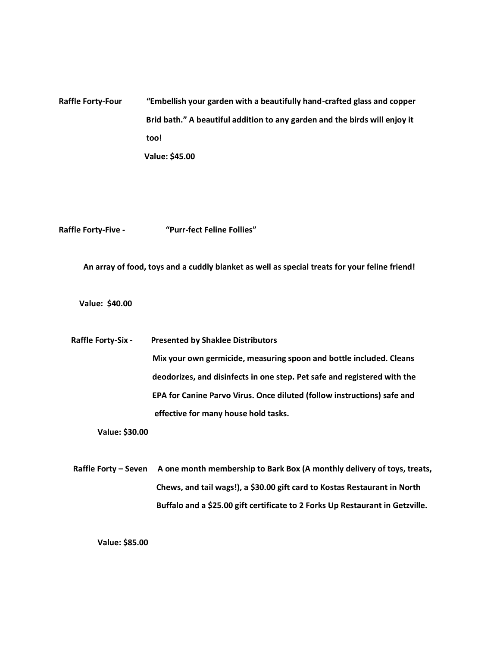## **Raffle Forty-Four "Embellish your garden with a beautifully hand-crafted glass and copper Brid bath." A beautiful addition to any garden and the birds will enjoy it too! Value: \$45.00**

**Raffle Forty-Five - "Purr-fect Feline Follies"**

 **An array of food, toys and a cuddly blanket as well as special treats for your feline friend!**

 **Value: \$40.00**

 **Raffle Forty-Six - Presented by Shaklee Distributors Mix your own germicide, measuring spoon and bottle included. Cleans deodorizes, and disinfects in one step. Pet safe and registered with the EPA for Canine Parvo Virus. Once diluted (follow instructions) safe and effective for many house hold tasks.**

 **Value: \$30.00**

 **Raffle Forty – Seven A one month membership to Bark Box (A monthly delivery of toys, treats, Chews, and tail wags!), a \$30.00 gift card to Kostas Restaurant in North Buffalo and a \$25.00 gift certificate to 2 Forks Up Restaurant in Getzville.**

 **Value: \$85.00**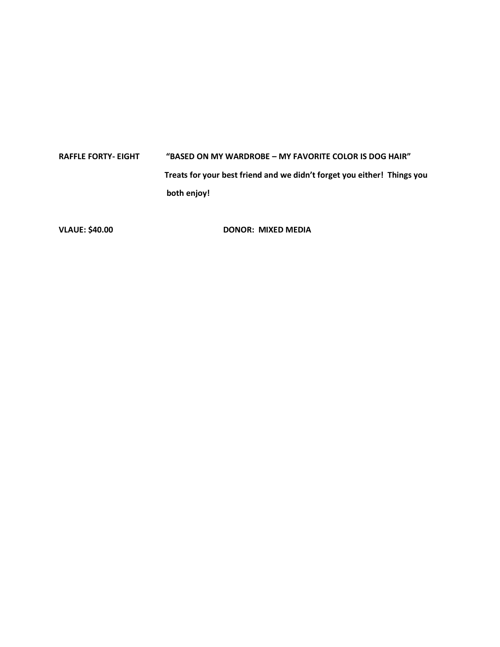# **RAFFLE FORTY- EIGHT "BASED ON MY WARDROBE – MY FAVORITE COLOR IS DOG HAIR" Treats for your best friend and we didn't forget you either! Things you both enjoy!**

VLAUE: \$40.00 DONOR: MIXED MEDIA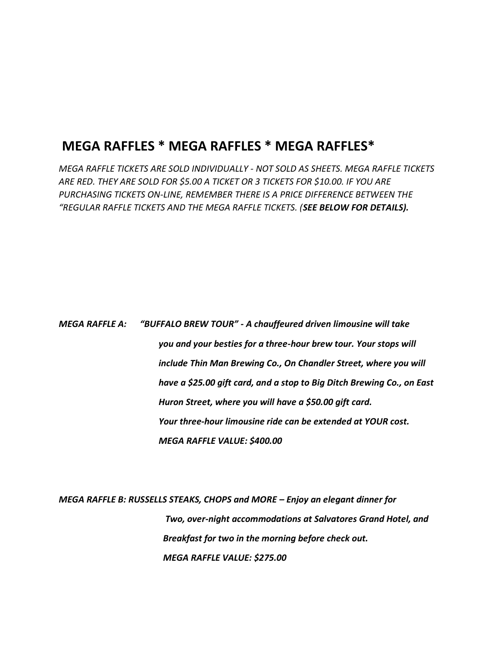### **MEGA RAFFLES \* MEGA RAFFLES \* MEGA RAFFLES\***

*MEGA RAFFLE TICKETS ARE SOLD INDIVIDUALLY - NOT SOLD AS SHEETS. MEGA RAFFLE TICKETS ARE RED. THEY ARE SOLD FOR \$5.00 A TICKET OR 3 TICKETS FOR \$10.00. IF YOU ARE PURCHASING TICKETS ON-LINE, REMEMBER THERE IS A PRICE DIFFERENCE BETWEEN THE "REGULAR RAFFLE TICKETS AND THE MEGA RAFFLE TICKETS. (SEE BELOW FOR DETAILS).*

*MEGA RAFFLE A: "BUFFALO BREW TOUR" - A chauffeured driven limousine will take you and your besties for a three-hour brew tour. Your stops will include Thin Man Brewing Co., On Chandler Street, where you will have a \$25.00 gift card, and a stop to Big Ditch Brewing Co., on East Huron Street, where you will have a \$50.00 gift card. Your three-hour limousine ride can be extended at YOUR cost. MEGA RAFFLE VALUE: \$400.00* 

*MEGA RAFFLE B: RUSSELLS STEAKS, CHOPS and MORE – Enjoy an elegant dinner for Two, over-night accommodations at Salvatores Grand Hotel, and Breakfast for two in the morning before check out. MEGA RAFFLE VALUE: \$275.00*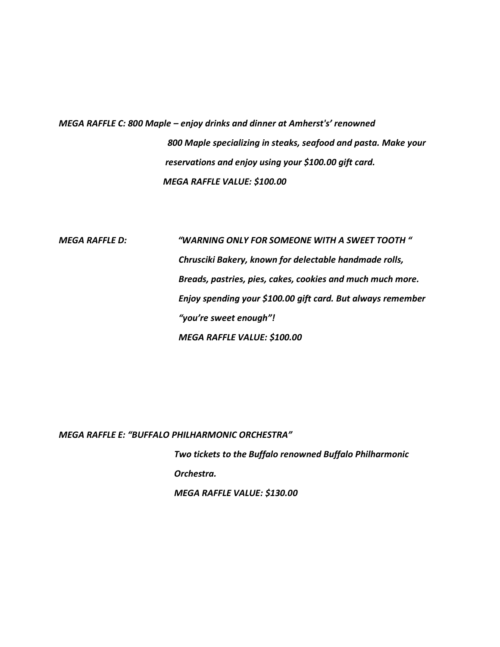*MEGA RAFFLE C: 800 Maple – enjoy drinks and dinner at Amherst's' renowned 800 Maple specializing in steaks, seafood and pasta. Make your reservations and enjoy using your \$100.00 gift card. MEGA RAFFLE VALUE: \$100.00*

*MEGA RAFFLE D: "WARNING ONLY FOR SOMEONE WITH A SWEET TOOTH " Chrusciki Bakery, known for delectable handmade rolls, Breads, pastries, pies, cakes, cookies and much much more. Enjoy spending your \$100.00 gift card. But always remember "you're sweet enough"! MEGA RAFFLE VALUE: \$100.00*

*MEGA RAFFLE E: "BUFFALO PHILHARMONIC ORCHESTRA"* 

 *Two tickets to the Buffalo renowned Buffalo Philharmonic Orchestra. MEGA RAFFLE VALUE: \$130.00*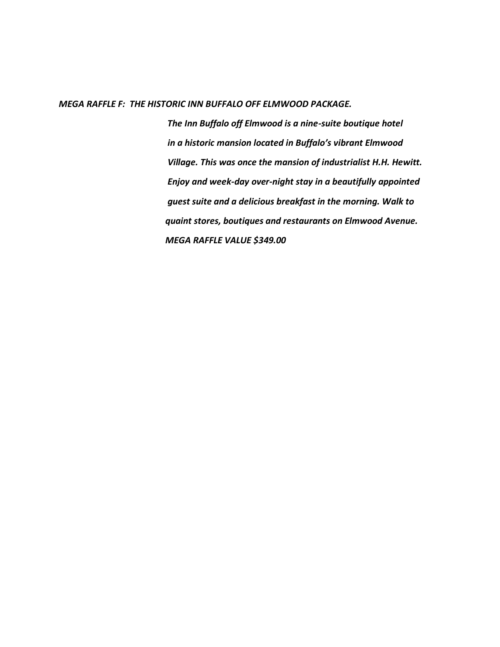### *MEGA RAFFLE F: THE HISTORIC INN BUFFALO OFF ELMWOOD PACKAGE.*

 *The Inn Buffalo off Elmwood is a nine-suite boutique hotel in a historic mansion located in Buffalo's vibrant Elmwood Village. This was once the mansion of industrialist H.H. Hewitt. Enjoy and week-day over-night stay in a beautifully appointed guest suite and a delicious breakfast in the morning. Walk to quaint stores, boutiques and restaurants on Elmwood Avenue. MEGA RAFFLE VALUE \$349.00*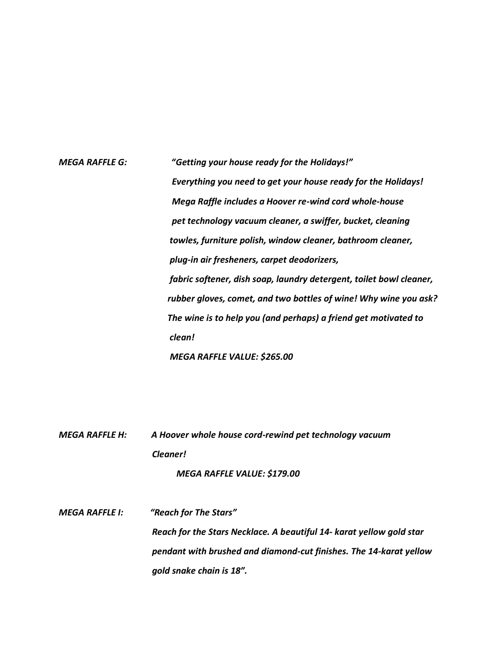# *MEGA RAFFLE G: "Getting your house ready for the Holidays!" Everything you need to get your house ready for the Holidays! Mega Raffle includes a Hoover re-wind cord whole-house pet technology vacuum cleaner, a swiffer, bucket, cleaning towles, furniture polish, window cleaner, bathroom cleaner, plug-in air fresheners, carpet deodorizers, fabric softener, dish soap, laundry detergent, toilet bowl cleaner, rubber gloves, comet, and two bottles of wine! Why wine you ask? The wine is to help you (and perhaps) a friend get motivated to clean!*

 *MEGA RAFFLE VALUE: \$265.00*

*MEGA RAFFLE H: A Hoover whole house cord-rewind pet technology vacuum Cleaner!*

 *MEGA RAFFLE VALUE: \$179.00*

*MEGA RAFFLE I: "Reach for The Stars" Reach for the Stars Necklace. A beautiful 14- karat yellow gold star pendant with brushed and diamond-cut finishes. The 14-karat yellow gold snake chain is 18".*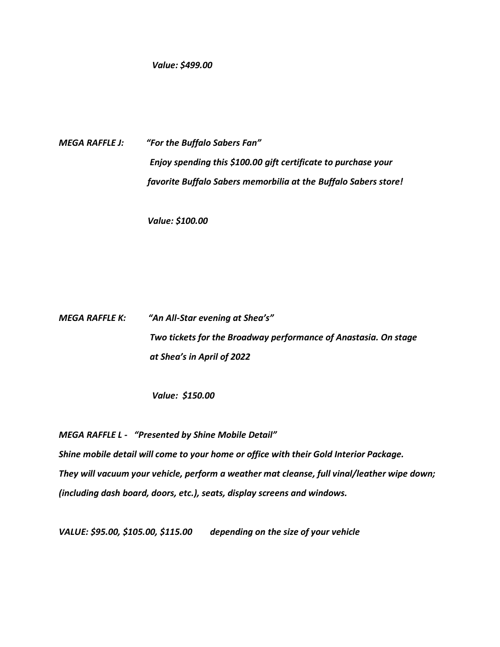*Value: \$499.00*

*MEGA RAFFLE J: "For the Buffalo Sabers Fan" Enjoy spending this \$100.00 gift certificate to purchase your favorite Buffalo Sabers memorbilia at the Buffalo Sabers store!*

 *Value: \$100.00*

*MEGA RAFFLE K: "An All-Star evening at Shea's" Two tickets for the Broadway performance of Anastasia. On stage at Shea's in April of 2022*

 *Value: \$150.00*

*MEGA RAFFLE L - "Presented by Shine Mobile Detail" Shine mobile detail will come to your home or office with their Gold Interior Package. They will vacuum your vehicle, perform a weather mat cleanse, full vinal/leather wipe down; (including dash board, doors, etc.), seats, display screens and windows.*

*VALUE: \$95.00, \$105.00, \$115.00 depending on the size of your vehicle*